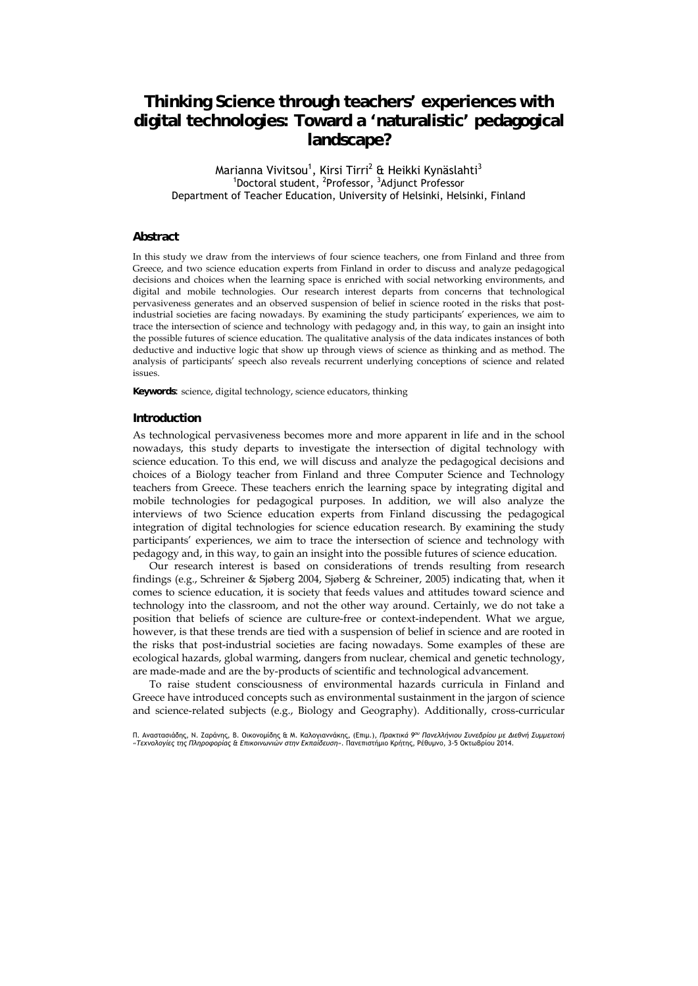# **Thinking Science through teachers' experiences with digital technologies: Toward a 'naturalistic' pedagogical landscape?**

Marianna Vivitsou<sup>1</sup>, Kirsi Tirri<sup>2</sup> & Heikki Kynäslahti<sup>3</sup> <sup>1</sup>Doctoral student, <sup>2</sup>Professor, <sup>3</sup>Adjunct Professor Department of Teacher Education, University of Helsinki, Helsinki, Finland

## **Abstract**

In this study we draw from the interviews of four science teachers, one from Finland and three from Greece, and two science education experts from Finland in order to discuss and analyze pedagogical decisions and choices when the learning space is enriched with social networking environments, and digital and mobile technologies. Our research interest departs from concerns that technological pervasiveness generates and an observed suspension of belief in science rooted in the risks that postindustrial societies are facing nowadays. By examining the study participants' experiences, we aim to trace the intersection of science and technology with pedagogy and, in this way, to gain an insight into the possible futures of science education. The qualitative analysis of the data indicates instances of both deductive and inductive logic that show up through views of science as thinking and as method. The analysis of participants' speech also reveals recurrent underlying conceptions of science and related issues.

**Keywords**: science, digital technology, science educators, thinking

### **Introduction**

As technological pervasiveness becomes more and more apparent in life and in the school nowadays, this study departs to investigate the intersection of digital technology with science education. To this end, we will discuss and analyze the pedagogical decisions and choices of a Biology teacher from Finland and three Computer Science and Technology teachers from Greece. These teachers enrich the learning space by integrating digital and mobile technologies for pedagogical purposes. In addition, we will also analyze the interviews of two Science education experts from Finland discussing the pedagogical integration of digital technologies for science education research. By examining the study participants' experiences, we aim to trace the intersection of science and technology with pedagogy and, in this way, to gain an insight into the possible futures of science education.

Our research interest is based on considerations of trends resulting from research findings (e.g., Schreiner & Sjøberg 2004, Sjøberg & Schreiner, 2005) indicating that, when it comes to science education, it is society that feeds values and attitudes toward science and technology into the classroom, and not the other way around. Certainly, we do not take a position that beliefs of science are culture-free or context-independent. What we argue, however, is that these trends are tied with a suspension of belief in science and are rooted in the risks that post-industrial societies are facing nowadays. Some examples of these are ecological hazards, global warming, dangers from nuclear, chemical and genetic technology, are made-made and are the by-products of scientific and technological advancement.

To raise student consciousness of environmental hazards curricula in Finland and Greece have introduced concepts such as environmental sustainment in the jargon of science and science-related subjects (e.g., Biology and Geography). Additionally, cross-curricular

Π. Αναστασιάδης, Ν. Ζαράνης, Β. Οικονομίδης & Μ. Καλογιαννάκης, (Επιμ.), *Πρακτικά 9ου Πανελλήνιου Συνεδρίου με Διεθνή Συμμετοχή «Τεχνολογίες της Πληροφορίας & Επικοινωνιών στην Εκπαίδευση»*. Πανεπιστήμιο Κρήτης, Ρέθυμνο, 3-5 Οκτωβρίου 2014.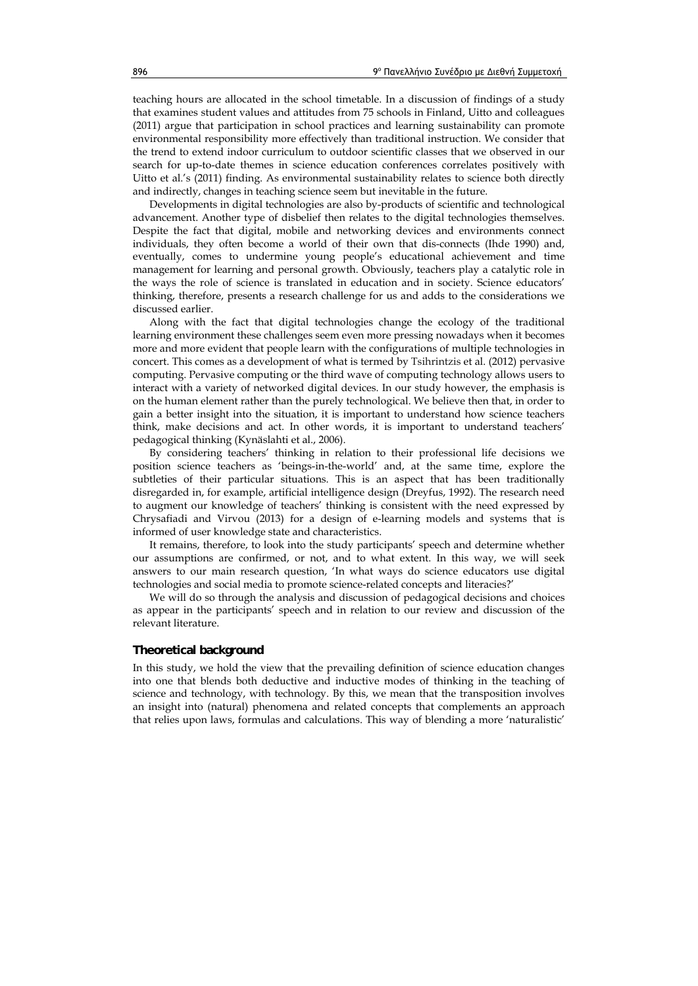teaching hours are allocated in the school timetable. In a discussion of findings of a study that examines student values and attitudes from 75 schools in Finland, Uitto and colleagues (2011) argue that participation in school practices and learning sustainability can promote environmental responsibility more effectively than traditional instruction. We consider that the trend to extend indoor curriculum to outdoor scientific classes that we observed in our search for up-to-date themes in science education conferences correlates positively with Uitto et al.'s (2011) finding. As environmental sustainability relates to science both directly and indirectly, changes in teaching science seem but inevitable in the future.

Developments in digital technologies are also by-products of scientific and technological advancement. Another type of disbelief then relates to the digital technologies themselves. Despite the fact that digital, mobile and networking devices and environments connect individuals, they often become a world of their own that dis-connects (Ihde 1990) and, eventually, comes to undermine young people's educational achievement and time management for learning and personal growth. Obviously, teachers play a catalytic role in the ways the role of science is translated in education and in society. Science educators' thinking, therefore, presents a research challenge for us and adds to the considerations we discussed earlier.

Along with the fact that digital technologies change the ecology of the traditional learning environment these challenges seem even more pressing nowadays when it becomes more and more evident that people learn with the configurations of multiple technologies in concert. This comes as a development of what is termed by Tsihrintzis et al. (2012) pervasive computing. Pervasive computing or the third wave of computing technology allows users to interact with a variety of networked digital devices. In our study however, the emphasis is on the human element rather than the purely technological. We believe then that, in order to gain a better insight into the situation, it is important to understand how science teachers think, make decisions and act. In other words, it is important to understand teachers' pedagogical thinking (Kynäslahti et al., 2006).

By considering teachers' thinking in relation to their professional life decisions we position science teachers as 'beings-in-the-world' and, at the same time, explore the subtleties of their particular situations. This is an aspect that has been traditionally disregarded in, for example, artificial intelligence design (Dreyfus, 1992). The research need to augment our knowledge of teachers' thinking is consistent with the need expressed by Chrysafiadi and Virvou (2013) for a design of e-learning models and systems that is informed of user knowledge state and characteristics.

It remains, therefore, to look into the study participants' speech and determine whether our assumptions are confirmed, or not, and to what extent. In this way, we will seek answers to our main research question, 'In what ways do science educators use digital technologies and social media to promote science-related concepts and literacies?'

We will do so through the analysis and discussion of pedagogical decisions and choices as appear in the participants' speech and in relation to our review and discussion of the relevant literature.

### **Theoretical background**

In this study, we hold the view that the prevailing definition of science education changes into one that blends both deductive and inductive modes of thinking in the teaching of science and technology, with technology. By this, we mean that the transposition involves an insight into (natural) phenomena and related concepts that complements an approach that relies upon laws, formulas and calculations. This way of blending a more 'naturalistic'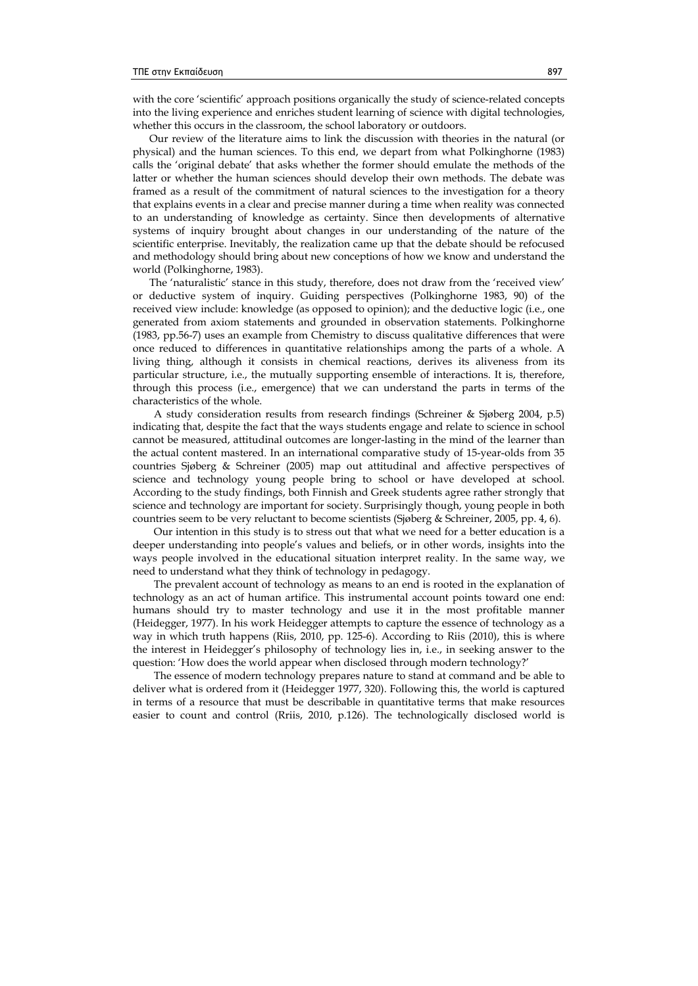with the core 'scientific' approach positions organically the study of science-related concepts into the living experience and enriches student learning of science with digital technologies, whether this occurs in the classroom, the school laboratory or outdoors.

Our review of the literature aims to link the discussion with theories in the natural (or physical) and the human sciences. To this end, we depart from what Polkinghorne (1983) calls the 'original debate' that asks whether the former should emulate the methods of the latter or whether the human sciences should develop their own methods. The debate was framed as a result of the commitment of natural sciences to the investigation for a theory that explains events in a clear and precise manner during a time when reality was connected to an understanding of knowledge as certainty. Since then developments of alternative systems of inquiry brought about changes in our understanding of the nature of the scientific enterprise. Inevitably, the realization came up that the debate should be refocused and methodology should bring about new conceptions of how we know and understand the world (Polkinghorne, 1983).

The 'naturalistic' stance in this study, therefore, does not draw from the 'received view' or deductive system of inquiry. Guiding perspectives (Polkinghorne 1983, 90) of the received view include: knowledge (as opposed to opinion); and the deductive logic (i.e., one generated from axiom statements and grounded in observation statements. Polkinghorne (1983, pp.56-7) uses an example from Chemistry to discuss qualitative differences that were once reduced to differences in quantitative relationships among the parts of a whole. A living thing, although it consists in chemical reactions, derives its aliveness from its particular structure, i.e., the mutually supporting ensemble of interactions. It is, therefore, through this process (i.e., emergence) that we can understand the parts in terms of the characteristics of the whole.

A study consideration results from research findings (Schreiner & Sjøberg 2004, p.5) indicating that, despite the fact that the ways students engage and relate to science in school cannot be measured, attitudinal outcomes are longer-lasting in the mind of the learner than the actual content mastered. In an international comparative study of 15-year-olds from 35 countries Sjøberg & Schreiner (2005) map out attitudinal and affective perspectives of science and technology young people bring to school or have developed at school. According to the study findings, both Finnish and Greek students agree rather strongly that science and technology are important for society. Surprisingly though, young people in both countries seem to be very reluctant to become scientists (Sjøberg & Schreiner, 2005, pp. 4, 6).

Our intention in this study is to stress out that what we need for a better education is a deeper understanding into people's values and beliefs, or in other words, insights into the ways people involved in the educational situation interpret reality. In the same way, we need to understand what they think of technology in pedagogy.

The prevalent account of technology as means to an end is rooted in the explanation of technology as an act of human artifice. This instrumental account points toward one end: humans should try to master technology and use it in the most profitable manner (Heidegger, 1977). In his work Heidegger attempts to capture the essence of technology as a way in which truth happens (Riis, 2010, pp. 125-6). According to Riis (2010), this is where the interest in Heidegger's philosophy of technology lies in, i.e., in seeking answer to the question: 'How does the world appear when disclosed through modern technology?'

The essence of modern technology prepares nature to stand at command and be able to deliver what is ordered from it (Heidegger 1977, 320). Following this, the world is captured in terms of a resource that must be describable in quantitative terms that make resources easier to count and control (Rriis, 2010, p.126). The technologically disclosed world is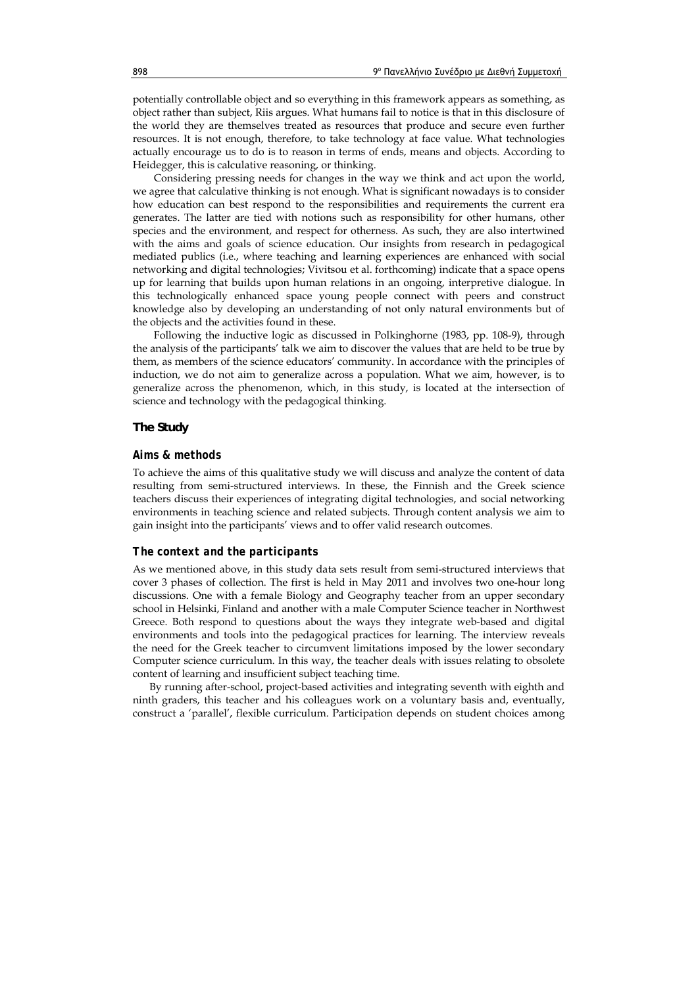potentially controllable object and so everything in this framework appears as something, as object rather than subject, Riis argues. What humans fail to notice is that in this disclosure of the world they are themselves treated as resources that produce and secure even further resources. It is not enough, therefore, to take technology at face value. What technologies actually encourage us to do is to reason in terms of ends, means and objects. According to Heidegger, this is calculative reasoning, or thinking.

Considering pressing needs for changes in the way we think and act upon the world, we agree that calculative thinking is not enough. What is significant nowadays is to consider how education can best respond to the responsibilities and requirements the current era generates. The latter are tied with notions such as responsibility for other humans, other species and the environment, and respect for otherness. As such, they are also intertwined with the aims and goals of science education. Our insights from research in pedagogical mediated publics (i.e., where teaching and learning experiences are enhanced with social networking and digital technologies; Vivitsou et al. forthcoming) indicate that a space opens up for learning that builds upon human relations in an ongoing, interpretive dialogue. In this technologically enhanced space young people connect with peers and construct knowledge also by developing an understanding of not only natural environments but of the objects and the activities found in these.

Following the inductive logic as discussed in Polkinghorne (1983, pp. 108-9), through the analysis of the participants' talk we aim to discover the values that are held to be true by them, as members of the science educators' community. In accordance with the principles of induction, we do not aim to generalize across a population. What we aim, however, is to generalize across the phenomenon, which, in this study, is located at the intersection of science and technology with the pedagogical thinking.

# **The Study**

## *Aims & methods*

To achieve the aims of this qualitative study we will discuss and analyze the content of data resulting from semi-structured interviews. In these, the Finnish and the Greek science teachers discuss their experiences of integrating digital technologies, and social networking environments in teaching science and related subjects. Through content analysis we aim to gain insight into the participants' views and to offer valid research outcomes.

## *The context and the participants*

As we mentioned above, in this study data sets result from semi-structured interviews that cover 3 phases of collection. The first is held in May 2011 and involves two one-hour long discussions. One with a female Biology and Geography teacher from an upper secondary school in Helsinki, Finland and another with a male Computer Science teacher in Northwest Greece. Both respond to questions about the ways they integrate web-based and digital environments and tools into the pedagogical practices for learning. The interview reveals the need for the Greek teacher to circumvent limitations imposed by the lower secondary Computer science curriculum. In this way, the teacher deals with issues relating to obsolete content of learning and insufficient subject teaching time.

By running after-school, project-based activities and integrating seventh with eighth and ninth graders, this teacher and his colleagues work on a voluntary basis and, eventually, construct a 'parallel', flexible curriculum. Participation depends on student choices among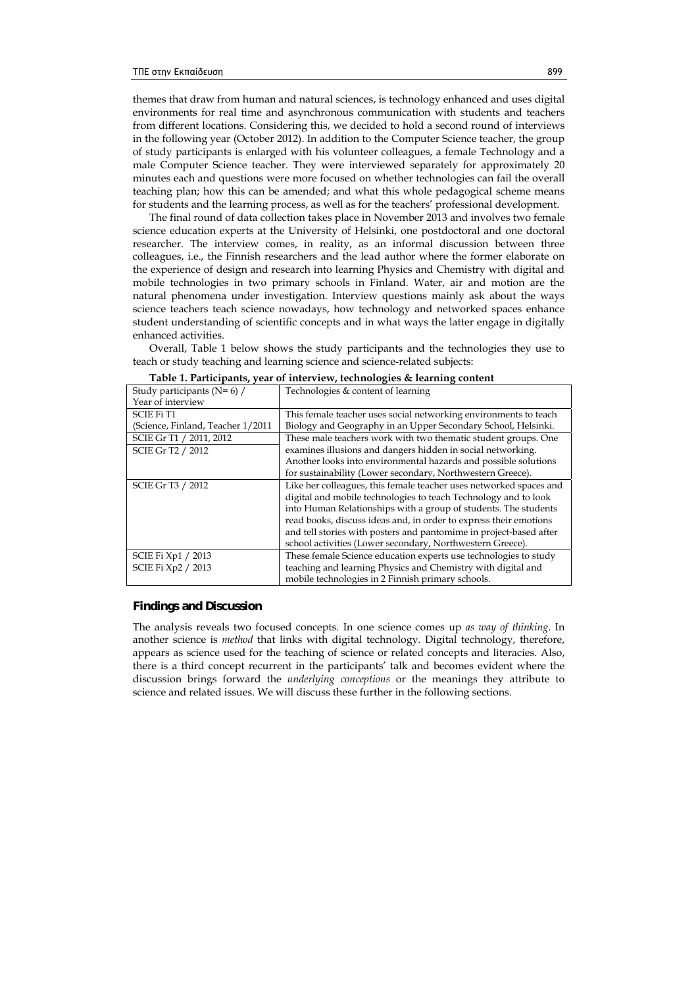themes that draw from human and natural sciences, is technology enhanced and uses digital environments for real time and asynchronous communication with students and teachers from different locations. Considering this, we decided to hold a second round of interviews in the following year (October 2012). In addition to the Computer Science teacher, the group of study participants is enlarged with his volunteer colleagues, a female Technology and a male Computer Science teacher. They were interviewed separately for approximately 20 minutes each and questions were more focused on whether technologies can fail the overall teaching plan; how this can be amended; and what this whole pedagogical scheme means for students and the learning process, as well as for the teachers' professional development.

The final round of data collection takes place in November 2013 and involves two female science education experts at the University of Helsinki, one postdoctoral and one doctoral researcher. The interview comes, in reality, as an informal discussion between three colleagues, i.e., the Finnish researchers and the lead author where the former elaborate on the experience of design and research into learning Physics and Chemistry with digital and mobile technologies in two primary schools in Finland. Water, air and motion are the natural phenomena under investigation. Interview questions mainly ask about the ways science teachers teach science nowadays, how technology and networked spaces enhance student understanding of scientific concepts and in what ways the latter engage in digitally enhanced activities.

Overall, Table 1 below shows the study participants and the technologies they use to teach or study teaching and learning science and science-related subjects:

| Study participants ( $N=6$ ) /     | Technologies & content of learning                                 |
|------------------------------------|--------------------------------------------------------------------|
| Year of interview                  |                                                                    |
| <b>SCIE Fi T1</b>                  | This female teacher uses social networking environments to teach   |
| (Science, Finland, Teacher 1/2011) | Biology and Geography in an Upper Secondary School, Helsinki.      |
| SCIE Gr T1 / 2011, 2012            | These male teachers work with two thematic student groups. One     |
| SCIE Gr T2 / 2012                  | examines illusions and dangers hidden in social networking.        |
|                                    | Another looks into environmental hazards and possible solutions    |
|                                    | for sustainability (Lower secondary, Northwestern Greece).         |
| SCIE Gr T3 / 2012                  | Like her colleagues, this female teacher uses networked spaces and |
|                                    | digital and mobile technologies to teach Technology and to look    |
|                                    | into Human Relationships with a group of students. The students    |
|                                    | read books, discuss ideas and, in order to express their emotions  |
|                                    | and tell stories with posters and pantomime in project-based after |
|                                    | school activities (Lower secondary, Northwestern Greece).          |
| SCIE Fi Xp1 / 2013                 | These female Science education experts use technologies to study   |
| SCIE Fi Xp2 / 2013                 | teaching and learning Physics and Chemistry with digital and       |
|                                    | mobile technologies in 2 Finnish primary schools.                  |

**Table 1. Participants, year of interview, technologies & learning content** 

### **Findings and Discussion**

The analysis reveals two focused concepts. In one science comes up *as way of thinking*. In another science is *method* that links with digital technology. Digital technology, therefore, appears as science used for the teaching of science or related concepts and literacies. Also, there is a third concept recurrent in the participants' talk and becomes evident where the discussion brings forward the *underlying conceptions* or the meanings they attribute to science and related issues. We will discuss these further in the following sections.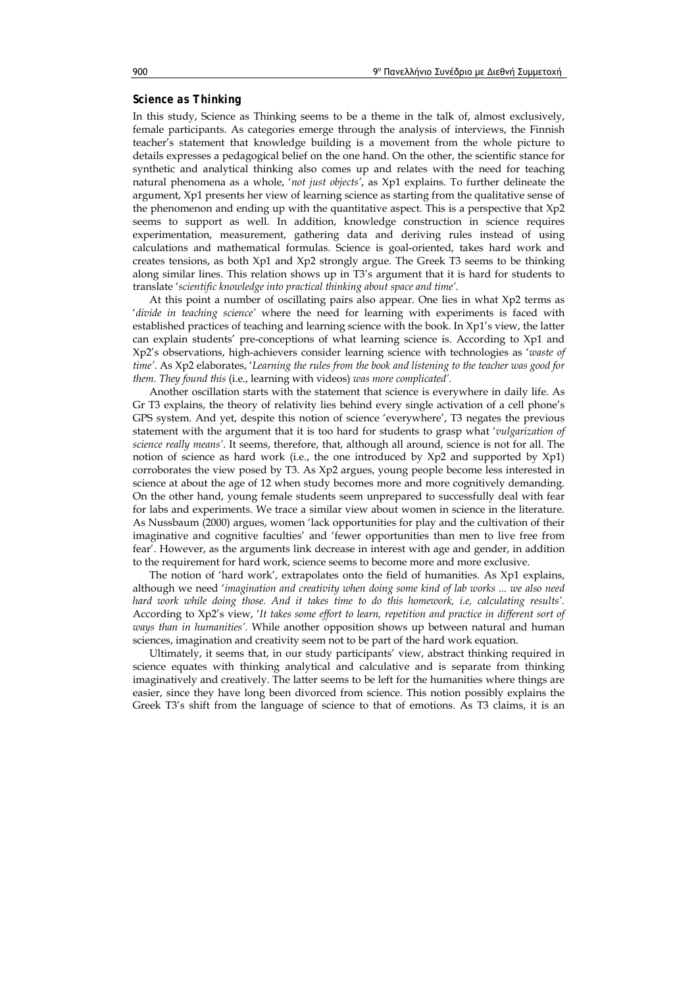## *Science as Thinking*

In this study, Science as Thinking seems to be a theme in the talk of, almost exclusively, female participants. As categories emerge through the analysis of interviews, the Finnish teacher's statement that knowledge building is a movement from the whole picture to details expresses a pedagogical belief on the one hand. On the other, the scientific stance for synthetic and analytical thinking also comes up and relates with the need for teaching natural phenomena as a whole, '*not just objects'*, as Xp1 explains. To further delineate the argument, Xp1 presents her view of learning science as starting from the qualitative sense of the phenomenon and ending up with the quantitative aspect. This is a perspective that Xp2 seems to support as well. In addition, knowledge construction in science requires experimentation, measurement, gathering data and deriving rules instead of using calculations and mathematical formulas. Science is goal-oriented, takes hard work and creates tensions, as both Xp1 and Xp2 strongly argue. The Greek T3 seems to be thinking along similar lines. This relation shows up in T3's argument that it is hard for students to translate '*scientific knowledge into practical thinking about space and time'*.

At this point a number of oscillating pairs also appear. One lies in what Xp2 terms as '*divide in teaching science'* where the need for learning with experiments is faced with established practices of teaching and learning science with the book. In Xp1's view, the latter can explain students' pre-conceptions of what learning science is. According to Xp1 and Xp2's observations, high-achievers consider learning science with technologies as '*waste of time'*. As Xp2 elaborates, '*Learning the rules from the book and listening to the teacher was good for them. They found this* (i.e., learning with videos) *was more complicated'.*

Another oscillation starts with the statement that science is everywhere in daily life. As Gr T3 explains, the theory of relativity lies behind every single activation of a cell phone's GPS system. And yet, despite this notion of science 'everywhere', T3 negates the previous statement with the argument that it is too hard for students to grasp what '*vulgarization of science really means'*. It seems, therefore, that, although all around, science is not for all. The notion of science as hard work (i.e., the one introduced by Xp2 and supported by Xp1) corroborates the view posed by T3. As Xp2 argues, young people become less interested in science at about the age of 12 when study becomes more and more cognitively demanding. On the other hand, young female students seem unprepared to successfully deal with fear for labs and experiments. We trace a similar view about women in science in the literature. As Nussbaum (2000) argues, women 'lack opportunities for play and the cultivation of their imaginative and cognitive faculties' and 'fewer opportunities than men to live free from fear'. However, as the arguments link decrease in interest with age and gender, in addition to the requirement for hard work, science seems to become more and more exclusive.

The notion of 'hard work', extrapolates onto the field of humanities. As Xp1 explains, although we need '*imagination and creativity when doing some kind of lab works ... we also need hard work while doing those. And it takes time to do this homework, i.e, calculating results'.*  According to Xp2's view, '*It takes some effort to learn, repetition and practice in different sort of ways than in humanities'.* While another opposition shows up between natural and human sciences, imagination and creativity seem not to be part of the hard work equation.

Ultimately, it seems that, in our study participants' view, abstract thinking required in science equates with thinking analytical and calculative and is separate from thinking imaginatively and creatively. The latter seems to be left for the humanities where things are easier, since they have long been divorced from science. This notion possibly explains the Greek T3's shift from the language of science to that of emotions. As T3 claims, it is an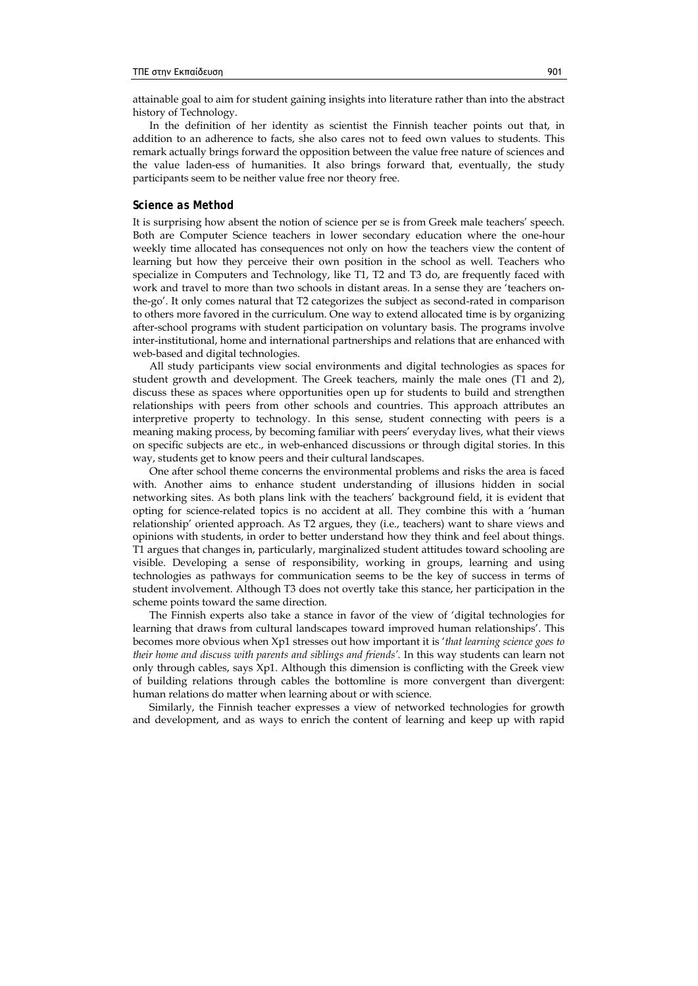attainable goal to aim for student gaining insights into literature rather than into the abstract history of Technology.

In the definition of her identity as scientist the Finnish teacher points out that, in addition to an adherence to facts, she also cares not to feed own values to students. This remark actually brings forward the opposition between the value free nature of sciences and the value laden-ess of humanities. It also brings forward that, eventually, the study participants seem to be neither value free nor theory free.

#### *Science as Method*

It is surprising how absent the notion of science per se is from Greek male teachers' speech. Both are Computer Science teachers in lower secondary education where the one-hour weekly time allocated has consequences not only on how the teachers view the content of learning but how they perceive their own position in the school as well. Teachers who specialize in Computers and Technology, like T1, T2 and T3 do, are frequently faced with work and travel to more than two schools in distant areas. In a sense they are 'teachers onthe-go'. It only comes natural that T2 categorizes the subject as second-rated in comparison to others more favored in the curriculum. One way to extend allocated time is by organizing after-school programs with student participation on voluntary basis. The programs involve inter-institutional, home and international partnerships and relations that are enhanced with web-based and digital technologies.

All study participants view social environments and digital technologies as spaces for student growth and development. The Greek teachers, mainly the male ones (T1 and 2), discuss these as spaces where opportunities open up for students to build and strengthen relationships with peers from other schools and countries. This approach attributes an interpretive property to technology. In this sense, student connecting with peers is a meaning making process, by becoming familiar with peers' everyday lives, what their views on specific subjects are etc., in web-enhanced discussions or through digital stories. In this way, students get to know peers and their cultural landscapes.

One after school theme concerns the environmental problems and risks the area is faced with. Another aims to enhance student understanding of illusions hidden in social networking sites. As both plans link with the teachers' background field, it is evident that opting for science-related topics is no accident at all. They combine this with a 'human relationship' oriented approach. As T2 argues, they (i.e., teachers) want to share views and opinions with students, in order to better understand how they think and feel about things. T1 argues that changes in, particularly, marginalized student attitudes toward schooling are visible. Developing a sense of responsibility, working in groups, learning and using technologies as pathways for communication seems to be the key of success in terms of student involvement. Although T3 does not overtly take this stance, her participation in the scheme points toward the same direction.

The Finnish experts also take a stance in favor of the view of 'digital technologies for learning that draws from cultural landscapes toward improved human relationships'. This becomes more obvious when Xp1 stresses out how important it is '*that learning science goes to their home and discuss with parents and siblings and friends'.* In this way students can learn not only through cables, says Xp1. Although this dimension is conflicting with the Greek view of building relations through cables the bottomline is more convergent than divergent: human relations do matter when learning about or with science.

Similarly, the Finnish teacher expresses a view of networked technologies for growth and development, and as ways to enrich the content of learning and keep up with rapid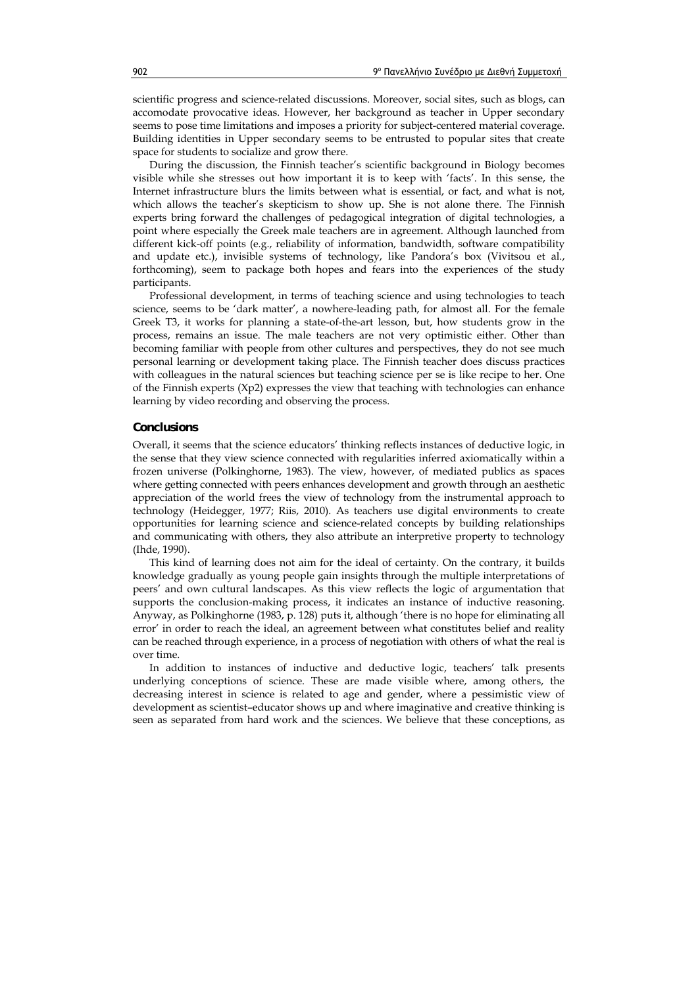scientific progress and science-related discussions. Moreover, social sites, such as blogs, can accomodate provocative ideas. However, her background as teacher in Upper secondary seems to pose time limitations and imposes a priority for subject-centered material coverage. Building identities in Upper secondary seems to be entrusted to popular sites that create space for students to socialize and grow there.

During the discussion, the Finnish teacher's scientific background in Biology becomes visible while she stresses out how important it is to keep with 'facts'. In this sense, the Internet infrastructure blurs the limits between what is essential, or fact, and what is not, which allows the teacher's skepticism to show up. She is not alone there. The Finnish experts bring forward the challenges of pedagogical integration of digital technologies, a point where especially the Greek male teachers are in agreement. Although launched from different kick-off points (e.g., reliability of information, bandwidth, software compatibility and update etc.), invisible systems of technology, like Pandora's box (Vivitsou et al., forthcoming), seem to package both hopes and fears into the experiences of the study participants.

Professional development, in terms of teaching science and using technologies to teach science, seems to be 'dark matter', a nowhere-leading path, for almost all. For the female Greek T3, it works for planning a state-of-the-art lesson, but, how students grow in the process, remains an issue. The male teachers are not very optimistic either. Other than becoming familiar with people from other cultures and perspectives, they do not see much personal learning or development taking place. The Finnish teacher does discuss practices with colleagues in the natural sciences but teaching science per se is like recipe to her. One of the Finnish experts (Xp2) expresses the view that teaching with technologies can enhance learning by video recording and observing the process.

## **Conclusions**

Overall, it seems that the science educators' thinking reflects instances of deductive logic, in the sense that they view science connected with regularities inferred axiomatically within a frozen universe (Polkinghorne, 1983). The view, however, of mediated publics as spaces where getting connected with peers enhances development and growth through an aesthetic appreciation of the world frees the view of technology from the instrumental approach to technology (Heidegger, 1977; Riis, 2010). As teachers use digital environments to create opportunities for learning science and science-related concepts by building relationships and communicating with others, they also attribute an interpretive property to technology (Ihde, 1990).

This kind of learning does not aim for the ideal of certainty. On the contrary, it builds knowledge gradually as young people gain insights through the multiple interpretations of peers' and own cultural landscapes. As this view reflects the logic of argumentation that supports the conclusion-making process, it indicates an instance of inductive reasoning. Anyway, as Polkinghorne (1983, p. 128) puts it, although 'there is no hope for eliminating all error' in order to reach the ideal, an agreement between what constitutes belief and reality can be reached through experience, in a process of negotiation with others of what the real is over time.

In addition to instances of inductive and deductive logic, teachers' talk presents underlying conceptions of science. These are made visible where, among others, the decreasing interest in science is related to age and gender, where a pessimistic view of development as scientist–educator shows up and where imaginative and creative thinking is seen as separated from hard work and the sciences. We believe that these conceptions, as